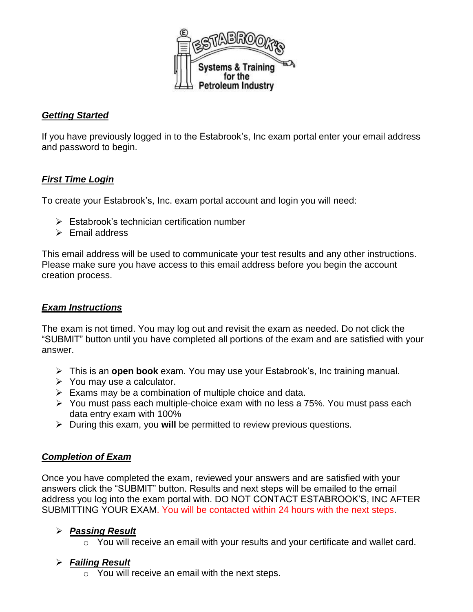

#### *Getting Started*

If you have previously logged in to the Estabrook's, Inc exam portal enter your email address and password to begin.

#### *First Time Login*

To create your Estabrook's, Inc. exam portal account and login you will need:

- ➢ Estabrook's technician certification number
- ➢ Email address

This email address will be used to communicate your test results and any other instructions. Please make sure you have access to this email address before you begin the account creation process.

#### *Exam Instructions*

The exam is not timed. You may log out and revisit the exam as needed. Do not click the "SUBMIT" button until you have completed all portions of the exam and are satisfied with your answer.

- ➢ This is an **open book** exam. You may use your Estabrook's, Inc training manual.
- ➢ You may use a calculator.
- $\triangleright$  Exams may be a combination of multiple choice and data.
- ➢ You must pass each multiple-choice exam with no less a 75%. You must pass each data entry exam with 100%
- ➢ During this exam, you **will** be permitted to review previous questions.

## *Completion of Exam*

Once you have completed the exam, reviewed your answers and are satisfied with your answers click the "SUBMIT" button. Results and next steps will be emailed to the email address you log into the exam portal with. DO NOT CONTACT ESTABROOK'S, INC AFTER SUBMITTING YOUR EXAM. You will be contacted within 24 hours with the next steps.

## ➢ *Passing Result*

o You will receive an email with your results and your certificate and wallet card.

## ➢ *Failing Result*

o You will receive an email with the next steps.